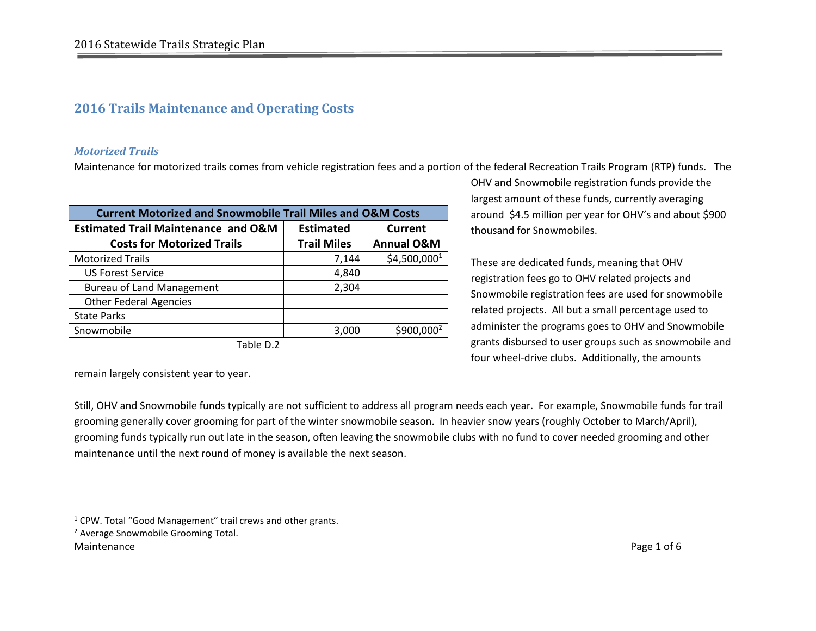# **2016 Trails Maintenance and Operating Costs**

#### *Motorized Trails*

Maintenance for motorized trails comes from vehicle registration fees and a portion of the federal Recreation Trails Program (RTP) funds. The

| <b>Current Motorized and Snowmobile Trail Miles and O&amp;M Costs</b> |                    |                        |  |  |
|-----------------------------------------------------------------------|--------------------|------------------------|--|--|
| <b>Estimated Trail Maintenance and O&amp;M</b>                        | <b>Estimated</b>   | Current                |  |  |
| <b>Costs for Motorized Trails</b>                                     | <b>Trail Miles</b> | <b>Annual O&amp;M</b>  |  |  |
| <b>Motorized Trails</b>                                               | 7,144              | $$4,500,000^1$         |  |  |
| <b>US Forest Service</b>                                              | 4,840              |                        |  |  |
| <b>Bureau of Land Management</b>                                      | 2,304              |                        |  |  |
| <b>Other Federal Agencies</b>                                         |                    |                        |  |  |
| <b>State Parks</b>                                                    |                    |                        |  |  |
| Snowmobile                                                            | 3,000              | \$900,000 <sup>2</sup> |  |  |

Table D.2

remain largely consistent year to year.

OHV and Snowmobile registration funds provide the largest amount of these funds, currently averaging around \$4.5 million per year for OHV's and about \$900 thousand for Snowmobiles.

These are dedicated funds, meaning that OHV registration fees go to OHV related projects and Snowmobile registration fees are used for snowmobile related projects. All but a small percentage used to administer the programs goes to OHV and Snowmobile grants disbursed to user groups such as snowmobile and four wheel-drive clubs. Additionally, the amounts

Still, OHV and Snowmobile funds typically are not sufficient to address all program needs each year. For example, Snowmobile funds for trail grooming generally cover grooming for part of the winter snowmobile season. In heavier snow years (roughly October to March/April), grooming funds typically run out late in the season, often leaving the snowmobile clubs with no fund to cover needed grooming and other maintenance until the next round of money is available the next season.

 $\overline{\phantom{a}}$ 

<sup>&</sup>lt;sup>1</sup> CPW. Total "Good Management" trail crews and other grants.

<sup>2</sup> Average Snowmobile Grooming Total.

Maintenance Page 1 of 6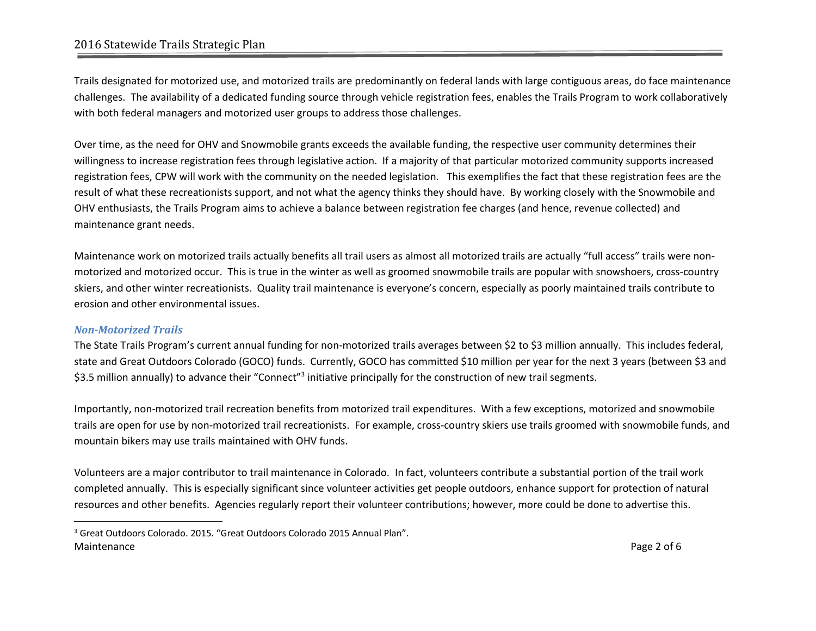## 2016 Statewide Trails Strategic Plan

Trails designated for motorized use, and motorized trails are predominantly on federal lands with large contiguous areas, do face maintenance challenges. The availability of a dedicated funding source through vehicle registration fees, enables the Trails Program to work collaboratively with both federal managers and motorized user groups to address those challenges.

Over time, as the need for OHV and Snowmobile grants exceeds the available funding, the respective user community determines their willingness to increase registration fees through legislative action. If a majority of that particular motorized community supports increased registration fees, CPW will work with the community on the needed legislation. This exemplifies the fact that these registration fees are the result of what these recreationists support, and not what the agency thinks they should have. By working closely with the Snowmobile and OHV enthusiasts, the Trails Program aims to achieve a balance between registration fee charges (and hence, revenue collected) and maintenance grant needs.

Maintenance work on motorized trails actually benefits all trail users as almost all motorized trails are actually "full access" trails were nonmotorized and motorized occur. This is true in the winter as well as groomed snowmobile trails are popular with snowshoers, cross-country skiers, and other winter recreationists. Quality trail maintenance is everyone's concern, especially as poorly maintained trails contribute to erosion and other environmental issues.

### *Non-Motorized Trails*

 $\overline{\phantom{a}}$ 

The State Trails Program's current annual funding for non-motorized trails averages between \$2 to \$3 million annually. This includes federal, state and Great Outdoors Colorado (GOCO) funds. Currently, GOCO has committed \$10 million per year for the next 3 years (between \$3 and \$3.5 million annually) to advance their "Connect"<sup>3</sup> initiative principally for the construction of new trail segments.

Importantly, non-motorized trail recreation benefits from motorized trail expenditures. With a few exceptions, motorized and snowmobile trails are open for use by non-motorized trail recreationists. For example, cross-country skiers use trails groomed with snowmobile funds, and mountain bikers may use trails maintained with OHV funds.

Volunteers are a major contributor to trail maintenance in Colorado. In fact, volunteers contribute a substantial portion of the trail work completed annually. This is especially significant since volunteer activities get people outdoors, enhance support for protection of natural resources and other benefits. Agencies regularly report their volunteer contributions; however, more could be done to advertise this.

Maintenance **Page 2 of 6** <sup>3</sup> Great Outdoors Colorado. 2015. "Great Outdoors Colorado 2015 Annual Plan".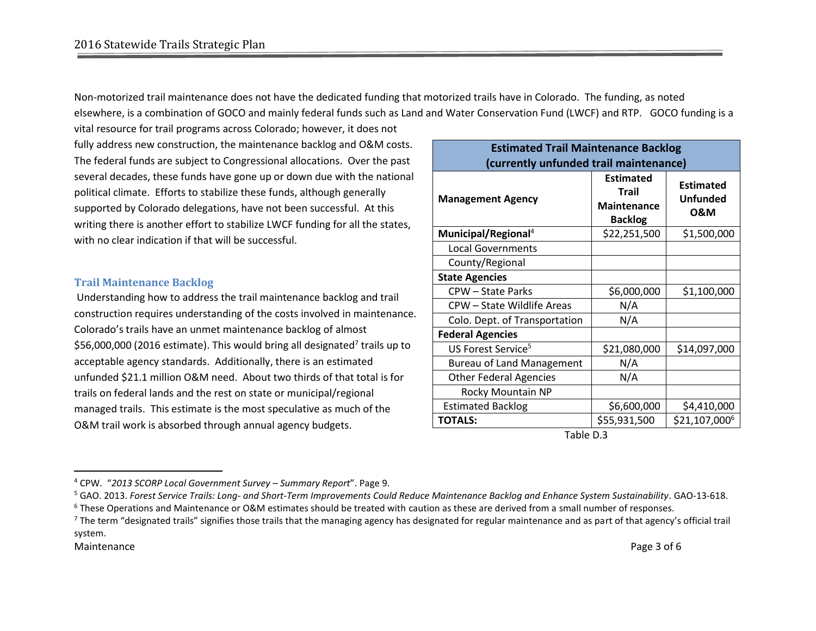Non-motorized trail maintenance does not have the dedicated funding that motorized trails have in Colorado. The funding, as noted elsewhere, is a combination of GOCO and mainly federal funds such as Land and Water Conservation Fund (LWCF) and RTP. GOCO funding is a

vital resource for trail programs across Colorado; however, it does not fully address new construction, the maintenance backlog and O&M costs. The federal funds are subject to Congressional allocations. Over the past several decades, these funds have gone up or down due with the national political climate. Efforts to stabilize these funds, although generally supported by Colorado delegations, have not been successful. At this writing there is another effort to stabilize LWCF funding for all the states, with no clear indication if that will be successful.

## **Trail Maintenance Backlog**

Understanding how to address the trail maintenance backlog and trail construction requires understanding of the costs involved in maintenance. Colorado's trails have an unmet maintenance backlog of almost \$56,000,000 (2016 estimate). This would bring all designated<sup>7</sup> trails up to acceptable agency standards. Additionally, there is an estimated unfunded \$21.1 million O&M need. About two thirds of that total is for trails on federal lands and the rest on state or municipal/regional managed trails. This estimate is the most speculative as much of the O&M trail work is absorbed through annual agency budgets.

| <b>Estimated Trail Maintenance Backlog</b><br>(currently unfunded trail maintenance) |                                                                          |                                                       |  |  |
|--------------------------------------------------------------------------------------|--------------------------------------------------------------------------|-------------------------------------------------------|--|--|
| <b>Management Agency</b>                                                             | <b>Estimated</b><br><b>Trail</b><br><b>Maintenance</b><br><b>Backlog</b> | <b>Estimated</b><br><b>Unfunded</b><br><b>0&amp;M</b> |  |  |
| Municipal/Regional <sup>4</sup>                                                      | \$22,251,500                                                             | \$1,500,000                                           |  |  |
| <b>Local Governments</b>                                                             |                                                                          |                                                       |  |  |
| County/Regional                                                                      |                                                                          |                                                       |  |  |
| <b>State Agencies</b>                                                                |                                                                          |                                                       |  |  |
| CPW – State Parks                                                                    | \$6,000,000                                                              | \$1,100,000                                           |  |  |
| CPW - State Wildlife Areas                                                           | N/A                                                                      |                                                       |  |  |
| Colo. Dept. of Transportation                                                        | N/A                                                                      |                                                       |  |  |
| <b>Federal Agencies</b>                                                              |                                                                          |                                                       |  |  |
| US Forest Service <sup>5</sup>                                                       | \$21,080,000                                                             | \$14,097,000                                          |  |  |
| <b>Bureau of Land Management</b>                                                     | N/A                                                                      |                                                       |  |  |
| <b>Other Federal Agencies</b>                                                        | N/A                                                                      |                                                       |  |  |
| Rocky Mountain NP                                                                    |                                                                          |                                                       |  |  |
| <b>Estimated Backlog</b>                                                             | \$6,600,000                                                              | \$4,410,000                                           |  |  |
| <b>TOTALS:</b>                                                                       | \$55,931,500                                                             | \$21,107,000 <sup>6</sup>                             |  |  |

Table D.3

 $\overline{a}$ 

<sup>4</sup> CPW. "*2013 SCORP Local Government Survey – Summary Report*". Page 9.

<sup>5</sup> GAO. 2013. *Forest Service Trails: Long- and Short-Term Improvements Could Reduce Maintenance Backlog and Enhance System Sustainability*. GAO-13-618.  $6$  These Operations and Maintenance or O&M estimates should be treated with caution as these are derived from a small number of responses.

 $7$  The term "designated trails" signifies those trails that the managing agency has designated for regular maintenance and as part of that agency's official trail system.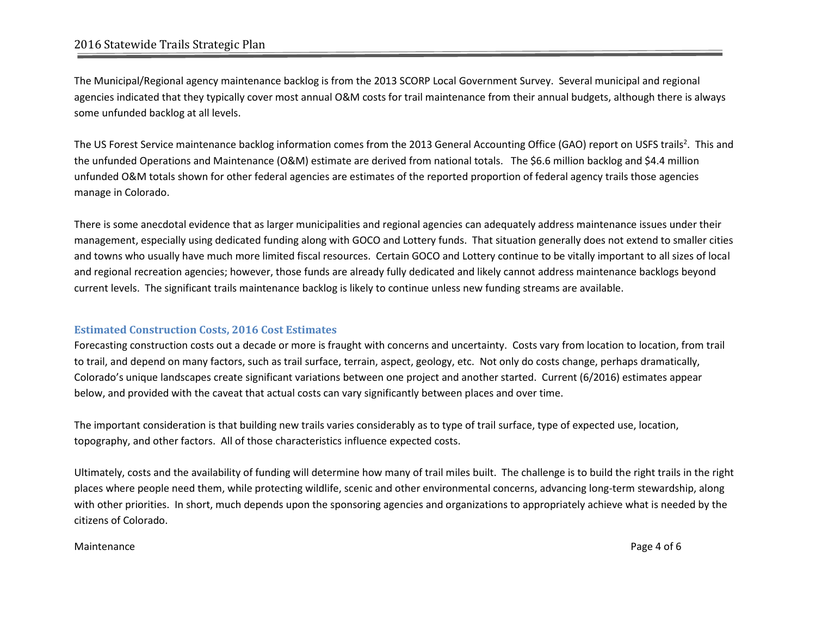## 2016 Statewide Trails Strategic Plan

The Municipal/Regional agency maintenance backlog is from the 2013 SCORP Local Government Survey. Several municipal and regional agencies indicated that they typically cover most annual O&M costs for trail maintenance from their annual budgets, although there is always some unfunded backlog at all levels.

The US Forest Service maintenance backlog information comes from the 2013 General Accounting Office (GAO) report on USFS trails<sup>2</sup>. This and the unfunded Operations and Maintenance (O&M) estimate are derived from national totals. The \$6.6 million backlog and \$4.4 million unfunded O&M totals shown for other federal agencies are estimates of the reported proportion of federal agency trails those agencies manage in Colorado.

There is some anecdotal evidence that as larger municipalities and regional agencies can adequately address maintenance issues under their management, especially using dedicated funding along with GOCO and Lottery funds. That situation generally does not extend to smaller cities and towns who usually have much more limited fiscal resources. Certain GOCO and Lottery continue to be vitally important to all sizes of local and regional recreation agencies; however, those funds are already fully dedicated and likely cannot address maintenance backlogs beyond current levels. The significant trails maintenance backlog is likely to continue unless new funding streams are available.

## **Estimated Construction Costs, 2016 Cost Estimates**

Forecasting construction costs out a decade or more is fraught with concerns and uncertainty. Costs vary from location to location, from trail to trail, and depend on many factors, such as trail surface, terrain, aspect, geology, etc. Not only do costs change, perhaps dramatically, Colorado's unique landscapes create significant variations between one project and another started. Current (6/2016) estimates appear below, and provided with the caveat that actual costs can vary significantly between places and over time.

The important consideration is that building new trails varies considerably as to type of trail surface, type of expected use, location, topography, and other factors. All of those characteristics influence expected costs.

Ultimately, costs and the availability of funding will determine how many of trail miles built. The challenge is to build the right trails in the right places where people need them, while protecting wildlife, scenic and other environmental concerns, advancing long-term stewardship, along with other priorities. In short, much depends upon the sponsoring agencies and organizations to appropriately achieve what is needed by the citizens of Colorado.

#### Maintenance **Page 4 of 6**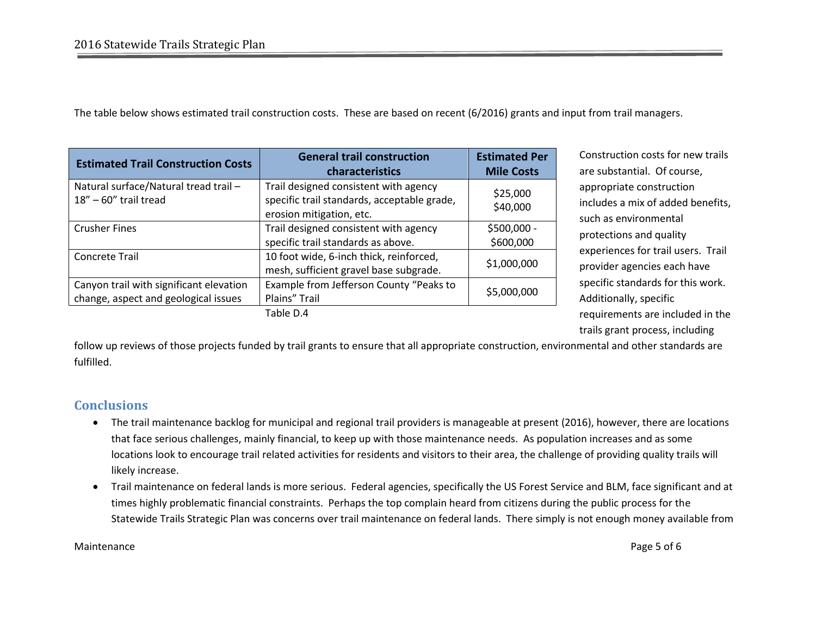The table below shows estimated trail construction costs. These are based on recent (6/2016) grants and input from trail managers.

| <b>Estimated Trail Construction Costs</b>                                       | <b>General trail construction</b><br>characteristics                                                             | <b>Estimated Per</b><br><b>Mile Costs</b> |
|---------------------------------------------------------------------------------|------------------------------------------------------------------------------------------------------------------|-------------------------------------------|
| Natural surface/Natural tread trail -<br>18" - 60" trail tread                  | Trail designed consistent with agency<br>specific trail standards, acceptable grade,<br>erosion mitigation, etc. | \$25,000<br>\$40,000                      |
| <b>Crusher Fines</b>                                                            | Trail designed consistent with agency<br>specific trail standards as above.                                      | \$500,000 -<br>\$600,000                  |
| Concrete Trail                                                                  | 10 foot wide, 6-inch thick, reinforced,<br>mesh, sufficient gravel base subgrade.                                | \$1,000,000                               |
| Canyon trail with significant elevation<br>change, aspect and geological issues | Example from Jefferson County "Peaks to<br>Plains" Trail                                                         | \$5,000,000                               |
|                                                                                 | Table D.4                                                                                                        |                                           |

Construction costs for new trails are substantial. Of course, appropriate construction includes a mix of added benefits, such as environmental protections and quality experiences for trail users. Trail provider agencies each have specific standards for this work. Additionally, specific requirements are included in the trails grant process, including

apic

follow up reviews of those projects funded by trail grants to ensure that all appropriate construction, environmental and other standards are fulfilled.

# **Conclusions**

- The trail maintenance backlog for municipal and regional trail providers is manageable at present (2016), however, there are locations that face serious challenges, mainly financial, to keep up with those maintenance needs. As population increases and as some locations look to encourage trail related activities for residents and visitors to their area, the challenge of providing quality trails will likely increase.
- Trail maintenance on federal lands is more serious. Federal agencies, specifically the US Forest Service and BLM, face significant and at times highly problematic financial constraints. Perhaps the top complain heard from citizens during the public process for the Statewide Trails Strategic Plan was concerns over trail maintenance on federal lands. There simply is not enough money available from

Maintenance **Page 5 of 6**